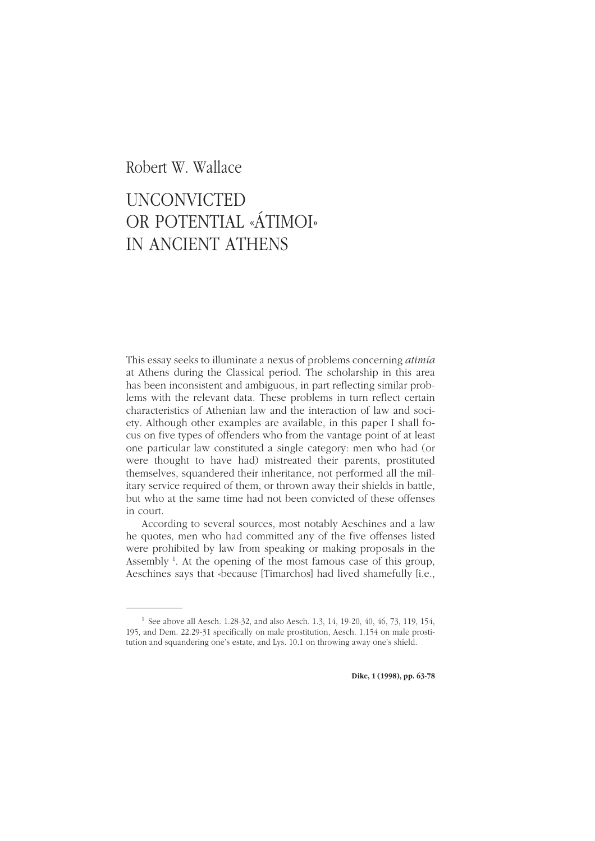## *Unconvicted or Potential «Átimoi» in Ancient Athens* <sup>63</sup> Robert W. Wallace

## UNCONVICTED [OR POTENTIAL «ÁTIMOI»](http://www.ledonline.it/dike) IN ANCIENT ATHENS

This essay seeks to illuminate a nexus of problems concerning *atimía* at Athens during the Classical period. The scholarship in this area has been inconsistent and ambiguous, in part reflecting similar problems with the relevant data. These problems in turn reflect certain characteristics of Athenian law and the interaction of law and society. Although other examples are available, in this paper I shall focus on five types of offenders who from the vantage point of at least one particular law constituted a single category: men who had (or were thought to have had) mistreated their parents, prostituted themselves, squandered their inheritance, not performed all the military service required of them, or thrown away their shields in battle, but who at the same time had not been convicted of these offenses in court.

According to several sources, most notably Aeschines and a law he quotes, men who had committed any of the five offenses listed were prohibited by law from speaking or making proposals in the Assembly<sup>1</sup>. At the opening of the most famous case of this group, Aeschines says that «because [Timarchos] had lived shamefully [i.e.,

<sup>&</sup>lt;sup>1</sup> See above all Aesch. 1.28-32, and also Aesch. 1.3, 14, 19-20, 40, 46, 73, 119, 154, 195, and Dem. 22.29-31 specifically on male prostitution, Aesch. 1.154 on male prostitution and squandering one's estate, and Lys. 10.1 on throwing away one's shield.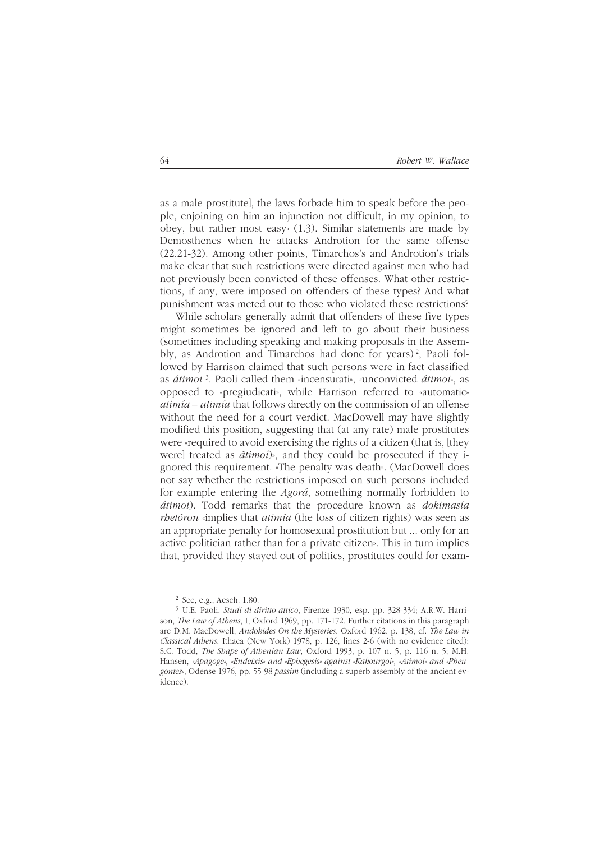as a male prostitute], the laws forbade him to speak before the people, enjoining on him an injunction not difficult, in my opinion, to obey, but rather most easy» (1.3). Similar statements are made by Demosthenes when he attacks Androtion for the same offense (22.21-32). Among other points, Timarchos's and Androtion's trials make clear that such restrictions were directed against men who had not previously been convicted of these offenses. What other restrictions, if any, were imposed on offenders of these types? And what punishment was meted out to those who violated these restrictions?

While scholars generally admit that offenders of these five types might sometimes be ignored and left to go about their business (sometimes including speaking and making proposals in the Assembly, as Androtion and Timarchos had done for years) 2, Paoli followed by Harrison claimed that such persons were in fact classified as *átimoi* <sup>3</sup>. Paoli called them «incensurati», «unconvicted *átimoi*», as opposed to «pregiudicati», while Harrison referred to «automatic» *atimía – atimía* that follows directly on the commission of an offense without the need for a court verdict. MacDowell may have slightly modified this position, suggesting that (at any rate) male prostitutes were «required to avoid exercising the rights of a citizen (that is, [they were] treated as *átimoi*)», and they could be prosecuted if they ignored this requirement. «The penalty was death». (MacDowell does not say whether the restrictions imposed on such persons included for example entering the *Agorá*, something normally forbidden to *átimoi*). Todd remarks that the procedure known as *dokimasía rhetóron* «implies that *atimía* (the loss of citizen rights) was seen as an appropriate penalty for homosexual prostitution but ... only for an active politician rather than for a private citizen». This in turn implies that, provided they stayed out of politics, prostitutes could for exam-

<sup>2</sup> See, e.g., Aesch. 1.80.

<sup>3</sup> U.E. Paoli, *Studi di diritto attico*, Firenze 1930, esp. pp. 328-334; A.R.W. Harrison, *The Law of Athens*, I, Oxford 1969, pp. 171-172. Further citations in this paragraph are D.M. MacDowell, *Andokides On the Mysteries*, Oxford 1962, p. 138, cf. *The Law in Classical Athens*, Ithaca (New York) 1978, p. 126, lines 2-6 (with no evidence cited); S.C. Todd, *The Shape of Athenian Law*, Oxford 1993, p. 107 n. 5, p. 116 n. 5; M.H. Hansen, *«Apagoge», «Endeixis» and «Ephegesis» against «Kakourgoi», «Atimoi» and «Pheugontes»*, Odense 1976, pp. 55-98 *passim* (including a superb assembly of the ancient evidence).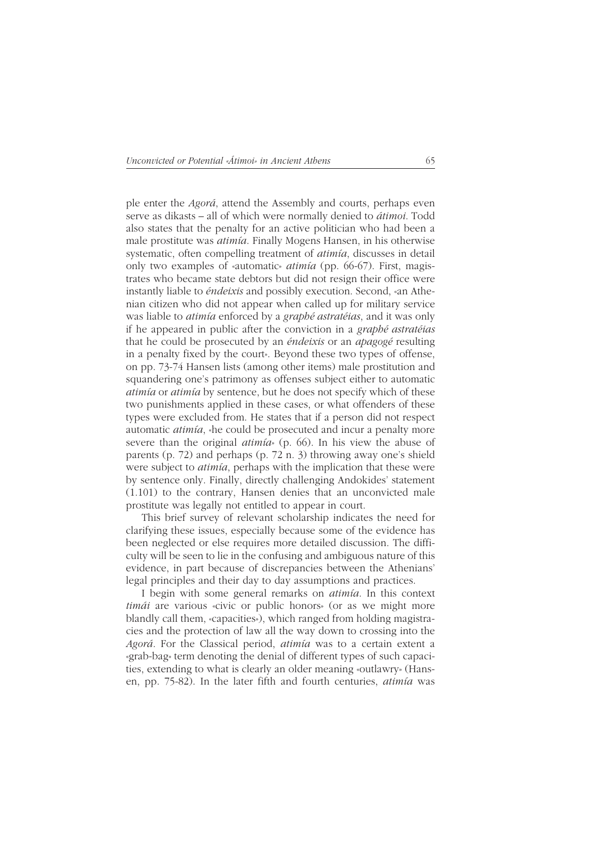ple enter the *Agorá*, attend the Assembly and courts, perhaps even serve as dikasts – all of which were normally denied to *átimoi*. Todd also states that the penalty for an active politician who had been a male prostitute was *atimía*. Finally Mogens Hansen, in his otherwise systematic, often compelling treatment of *atimía*, discusses in detail only two examples of «automatic» *atimía* (pp. 66-67). First, magistrates who became state debtors but did not resign their office were instantly liable to *éndeixis* and possibly execution. Second, «an Athenian citizen who did not appear when called up for military service was liable to *atimía* enforced by a *graphé astratéias*, and it was only if he appeared in public after the conviction in a *graphé astratéias* that he could be prosecuted by an *éndeixis* or an *apagogé* resulting in a penalty fixed by the court». Beyond these two types of offense, on pp. 73-74 Hansen lists (among other items) male prostitution and squandering one's patrimony as offenses subject either to automatic *atimía* or *atimía* by sentence, but he does not specify which of these two punishments applied in these cases, or what offenders of these types were excluded from. He states that if a person did not respect automatic *atimía*, «he could be prosecuted and incur a penalty more severe than the original *atimía*» (p. 66). In his view the abuse of parents (p. 72) and perhaps (p. 72 n. 3) throwing away one's shield were subject to *atimía*, perhaps with the implication that these were by sentence only. Finally, directly challenging Andokides' statement (1.101) to the contrary, Hansen denies that an unconvicted male prostitute was legally not entitled to appear in court.

This brief survey of relevant scholarship indicates the need for clarifying these issues, especially because some of the evidence has been neglected or else requires more detailed discussion. The difficulty will be seen to lie in the confusing and ambiguous nature of this evidence, in part because of discrepancies between the Athenians' legal principles and their day to day assumptions and practices.

I begin with some general remarks on *atimía*. In this context *timái* are various «civic or public honors» (or as we might more blandly call them, «capacities»), which ranged from holding magistracies and the protection of law all the way down to crossing into the *Agorá*. For the Classical period, *atimía* was to a certain extent a «grab-bag» term denoting the denial of different types of such capacities, extending to what is clearly an older meaning «outlawry» (Hansen, pp. 75-82). In the later fifth and fourth centuries, *atimía* was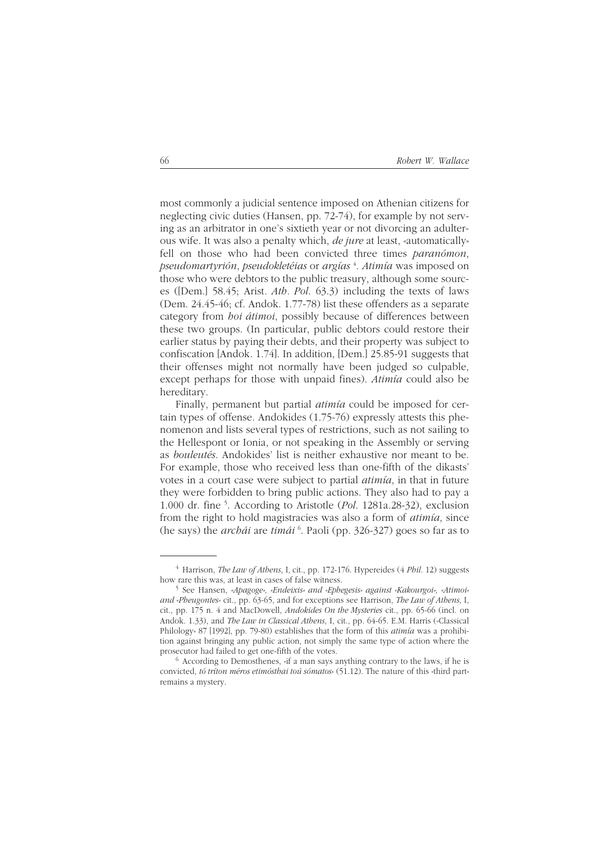most commonly a judicial sentence imposed on Athenian citizens for neglecting civic duties (Hansen, pp. 72-74), for example by not serving as an arbitrator in one's sixtieth year or not divorcing an adulterous wife. It was also a penalty which, *de jure* at least, «automatically» fell on those who had been convicted three times *paranómon*, *pseudomartyrión*, *pseudokletéias* or *argías* <sup>4</sup> . *Atimía* was imposed on those who were debtors to the public treasury, although some sources ([Dem.] 58.45; Arist*. Ath. Pol*. 63.3) including the texts of laws (Dem. 24.45-46; cf. Andok. 1.77-78) list these offenders as a separate category from *hoi átimoi*, possibly because of differences between these two groups. (In particular, public debtors could restore their earlier status by paying their debts, and their property was subject to confiscation [Andok. 1.74]. In addition, [Dem.] 25.85-91 suggests that their offenses might not normally have been judged so culpable, except perhaps for those with unpaid fines). *Atimía* could also be hereditary.

Finally, permanent but partial *atimía* could be imposed for certain types of offense. Andokides (1.75-76) expressly attests this phenomenon and lists several types of restrictions, such as not sailing to the Hellespont or Ionia, or not speaking in the Assembly or serving as *bouleutés*. Andokides' list is neither exhaustive nor meant to be. For example, those who received less than one-fifth of the dikasts' votes in a court case were subject to partial *atimía*, in that in future they were forbidden to bring public actions. They also had to pay a 1.000 dr. fine 5 . According to Aristotle (*Pol*. 1281a.28-32), exclusion from the right to hold magistracies was also a form of *atimía*, since (he says) the *archái* are *timái* <sup>6</sup> . Paoli (pp. 326-327) goes so far as to

<sup>4</sup> Harrison, *The Law of Athens*, I, cit., pp. 172-176. Hypereides (4 *Phil.* 12) suggests how rare this was, at least in cases of false witness.

<sup>5</sup> See Hansen, *«Apagoge», «Endeixis» and «Ephegesis» against «Kakourgoi», «Atimoi» and «Pheugontes»* cit., pp. 63-65, and for exceptions see Harrison, *The Law of Athens*, I, cit., pp. 175 n. 4 and MacDowell, *Andokides On the Mysteries* cit., pp. 65-66 (incl. on Andok. 1.33), and *The Law in Classical Athens*, I, cit., pp. 64-65. E.M. Harris («Classical Philology» 87 [1992], pp. 79-80) establishes that the form of this *atimía* was a prohibition against bringing any public action, not simply the same type of action where the prosecutor had failed to get one-fifth of the votes.

 $6$  According to Demosthenes, «if a man says anything contrary to the laws, if he is convicted, *tó tríton méros etimósthai toú sómatos*» (51.12). The nature of this «third part» remains a mystery.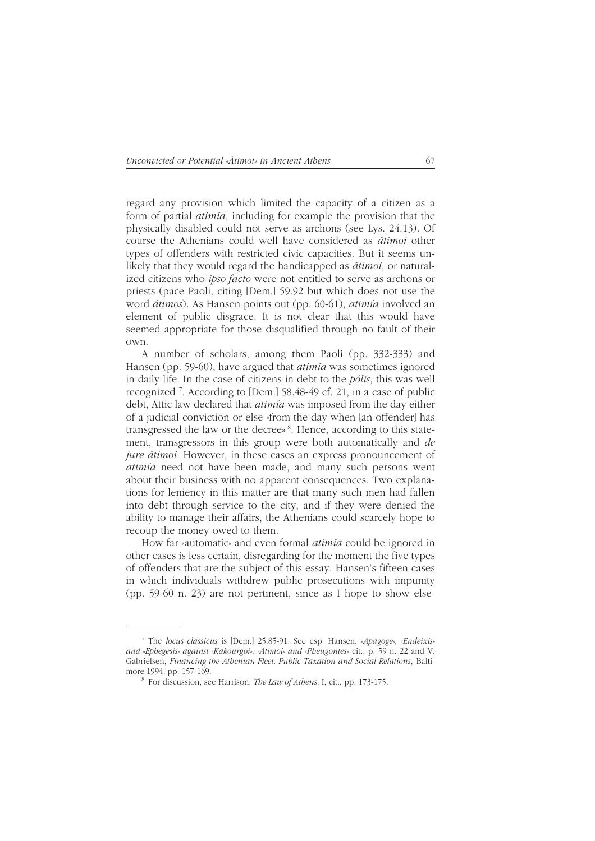regard any provision which limited the capacity of a citizen as a form of partial *atimía*, including for example the provision that the physically disabled could not serve as archons (see Lys. 24.13). Of course the Athenians could well have considered as *átimoi* other types of offenders with restricted civic capacities. But it seems unlikely that they would regard the handicapped as *átimoi*, or naturalized citizens who *ipso facto* were not entitled to serve as archons or priests (pace Paoli, citing [Dem.] 59.92 but which does not use the word *átimos*). As Hansen points out (pp. 60-61), *atimía* involved an element of public disgrace. It is not clear that this would have seemed appropriate for those disqualified through no fault of their own.

A number of scholars, among them Paoli (pp. 332-333) and Hansen (pp. 59-60), have argued that *atimía* was sometimes ignored in daily life. In the case of citizens in debt to the *pólis*, this was well recognized 7 . According to [Dem.] 58.48-49 cf. 21, in a case of public debt, Attic law declared that *atimía* was imposed from the day either of a judicial conviction or else «from the day when [an offender] has transgressed the law or the decree**»** 8. Hence, according to this statement, transgressors in this group were both automatically and *de jure átimoi*. However, in these cases an express pronouncement of *atimía* need not have been made, and many such persons went about their business with no apparent consequences. Two explanations for leniency in this matter are that many such men had fallen into debt through service to the city, and if they were denied the ability to manage their affairs, the Athenians could scarcely hope to recoup the money owed to them.

How far «automatic» and even formal *atimía* could be ignored in other cases is less certain, disregarding for the moment the five types of offenders that are the subject of this essay. Hansen's fifteen cases in which individuals withdrew public prosecutions with impunity (pp. 59-60 n. 23) are not pertinent, since as I hope to show else-

<sup>7</sup> The *locus classicus* is [Dem.] 25.85-91. See esp. Hansen, *«Apagoge», «Endeixis» and «Ephegesis» against «Kakourgoi», «Atimoi» and «Pheugontes»* cit., p. 59 n. 22 and V. Gabrielsen, *Financing the Athenian Fleet. Public Taxation and Social Relations*, Baltimore 1994, pp. 157-169.

<sup>8</sup> For discussion, see Harrison, *The Law of Athens*, I, cit., pp. 173-175.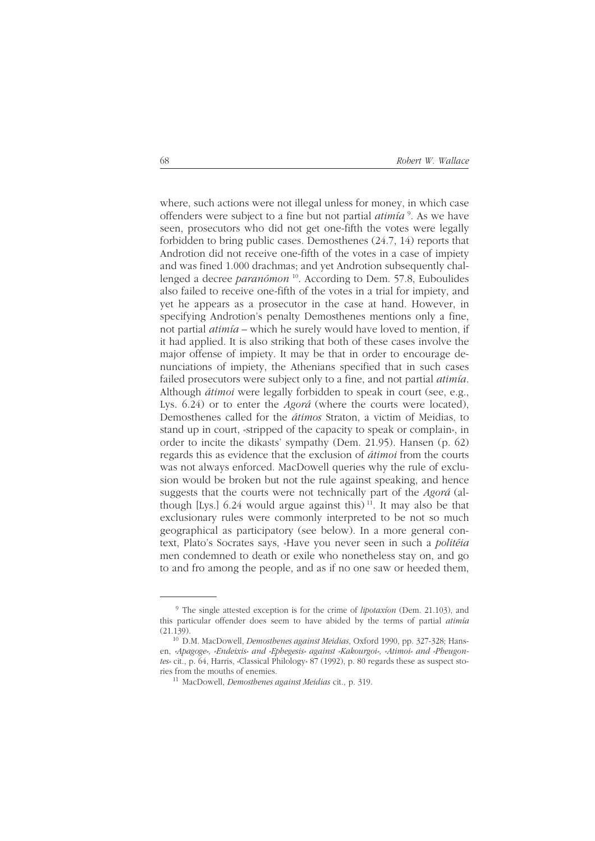where, such actions were not illegal unless for money, in which case offenders were subject to a fine but not partial *atimía* <sup>9</sup> . As we have seen, prosecutors who did not get one-fifth the votes were legally forbidden to bring public cases. Demosthenes (24.7, 14) reports that Androtion did not receive one-fifth of the votes in a case of impiety and was fined 1.000 drachmas; and yet Androtion subsequently challenged a decree *paranómon* 10. According to Dem. 57.8, Euboulides also failed to receive one-fifth of the votes in a trial for impiety, and yet he appears as a prosecutor in the case at hand. However, in specifying Androtion's penalty Demosthenes mentions only a fine, not partial *atimía* – which he surely would have loved to mention, if it had applied. It is also striking that both of these cases involve the major offense of impiety. It may be that in order to encourage denunciations of impiety, the Athenians specified that in such cases failed prosecutors were subject only to a fine, and not partial *atimía*. Although *átimoi* were legally forbidden to speak in court (see, e.g., Lys. 6.24) or to enter the *Agorá* (where the courts were located), Demosthenes called for the *átimos* Straton, a victim of Meidias, to stand up in court, «stripped of the capacity to speak or complain», in order to incite the dikasts' sympathy (Dem. 21.95). Hansen (p. 62) regards this as evidence that the exclusion of *átimoi* from the courts was not always enforced. MacDowell queries why the rule of exclusion would be broken but not the rule against speaking, and hence suggests that the courts were not technically part of the *Agorá* (although [Lys.]  $6.24$  would argue against this)<sup>11</sup>. It may also be that exclusionary rules were commonly interpreted to be not so much geographical as participatory (see below). In a more general context, Plato's Socrates says, «Have you never seen in such a *politéia* men condemned to death or exile who nonetheless stay on, and go to and fro among the people, and as if no one saw or heeded them,

<sup>9</sup> The single attested exception is for the crime of *lipotaxíon* (Dem. 21.103), and this particular offender does seem to have abided by the terms of partial *atimía* (21.139).

<sup>10</sup> D.M. MacDowell, *Demosthenes against Meidias*, Oxford 1990, pp. 327-328; Hansen, *«Apagoge», «Endeixis» and «Ephegesis» against «Kakourgoi», «Atimoi» and «Pheugontes»* cit., p. 64, Harris, «Classical Philology» 87 (1992), p. 80 regards these as suspect stories from the mouths of enemies.

<sup>11</sup> MacDowell, *Demosthenes against Meidias* cit., p. 319.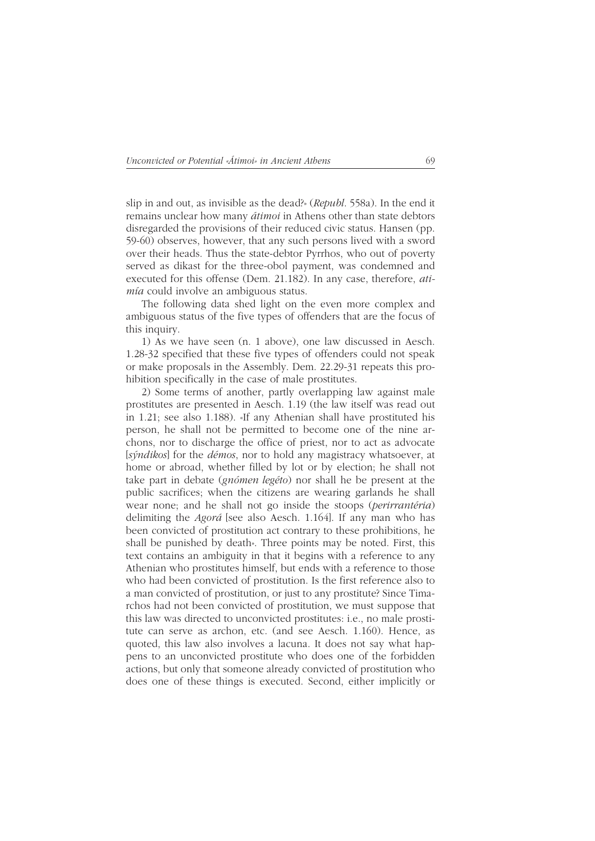slip in and out, as invisible as the dead?» (*Republ*. 558a). In the end it remains unclear how many *átimoi* in Athens other than state debtors disregarded the provisions of their reduced civic status. Hansen (pp. 59-60) observes, however, that any such persons lived with a sword over their heads. Thus the state-debtor Pyrrhos, who out of poverty served as dikast for the three-obol payment, was condemned and executed for this offense (Dem. 21.182). In any case, therefore, *atimía* could involve an ambiguous status.

The following data shed light on the even more complex and ambiguous status of the five types of offenders that are the focus of this inquiry.

1) As we have seen (n. 1 above), one law discussed in Aesch. 1.28-32 specified that these five types of offenders could not speak or make proposals in the Assembly. Dem. 22.29-31 repeats this prohibition specifically in the case of male prostitutes.

2) Some terms of another, partly overlapping law against male prostitutes are presented in Aesch. 1.19 (the law itself was read out in 1.21; see also 1.188). «If any Athenian shall have prostituted his person, he shall not be permitted to become one of the nine archons, nor to discharge the office of priest, nor to act as advocate [*sýndikos*] for the *démos*, nor to hold any magistracy whatsoever, at home or abroad, whether filled by lot or by election; he shall not take part in debate (*gnómen legéto*) nor shall he be present at the public sacrifices; when the citizens are wearing garlands he shall wear none; and he shall not go inside the stoops (*perirrantéria*) delimiting the *Agorá* [see also Aesch. 1.164]. If any man who has been convicted of prostitution act contrary to these prohibitions, he shall be punished by death». Three points may be noted. First, this text contains an ambiguity in that it begins with a reference to any Athenian who prostitutes himself, but ends with a reference to those who had been convicted of prostitution. Is the first reference also to a man convicted of prostitution, or just to any prostitute? Since Timarchos had not been convicted of prostitution, we must suppose that this law was directed to unconvicted prostitutes: i.e., no male prostitute can serve as archon, etc. (and see Aesch. 1.160). Hence, as quoted, this law also involves a lacuna. It does not say what happens to an unconvicted prostitute who does one of the forbidden actions, but only that someone already convicted of prostitution who does one of these things is executed. Second, either implicitly or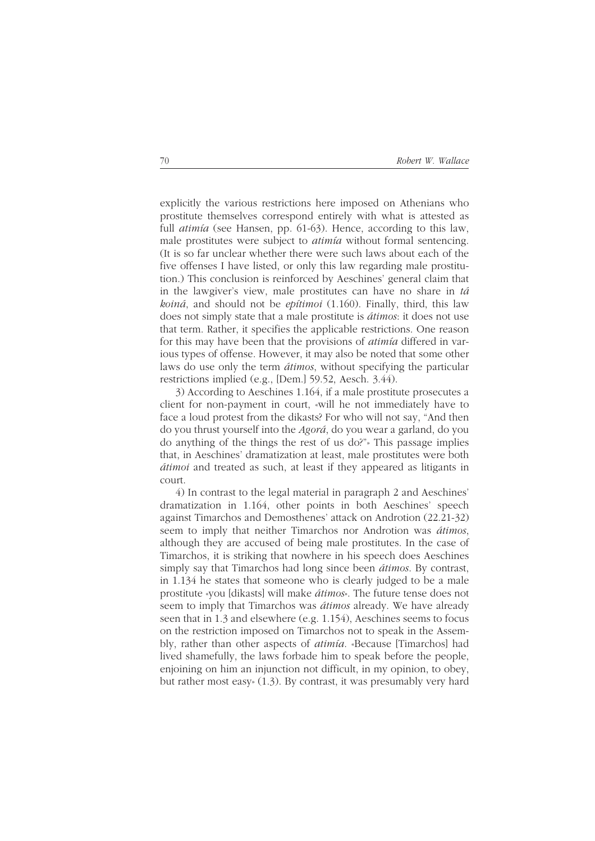explicitly the various restrictions here imposed on Athenians who prostitute themselves correspond entirely with what is attested as full *atimía* (see Hansen, pp. 61-63). Hence, according to this law, male prostitutes were subject to *atimía* without formal sentencing. (It is so far unclear whether there were such laws about each of the five offenses I have listed, or only this law regarding male prostitution.) This conclusion is reinforced by Aeschines' general claim that in the lawgiver's view, male prostitutes can have no share in *tá koiná*, and should not be *epítimoi* (1.160). Finally, third, this law does not simply state that a male prostitute is *átimos*: it does not use that term. Rather, it specifies the applicable restrictions. One reason for this may have been that the provisions of *atimía* differed in various types of offense. However, it may also be noted that some other laws do use only the term *átimos*, without specifying the particular restrictions implied (e.g., [Dem.] 59.52, Aesch. 3.44).

3) According to Aeschines 1.164, if a male prostitute prosecutes a client for non-payment in court, «will he not immediately have to face a loud protest from the dikasts? For who will not say, "And then do you thrust yourself into the *Agorá*, do you wear a garland, do you do anything of the things the rest of us do?"» This passage implies that, in Aeschines' dramatization at least, male prostitutes were both *átimoi* and treated as such, at least if they appeared as litigants in court.

4) In contrast to the legal material in paragraph 2 and Aeschines' dramatization in 1.164, other points in both Aeschines' speech against Timarchos and Demosthenes' attack on Androtion (22.21-32) seem to imply that neither Timarchos nor Androtion was *átimos*, although they are accused of being male prostitutes. In the case of Timarchos, it is striking that nowhere in his speech does Aeschines simply say that Timarchos had long since been *átimos*. By contrast, in 1.134 he states that someone who is clearly judged to be a male prostitute «you [dikasts] will make *átimos*». The future tense does not seem to imply that Timarchos was *átimos* already. We have already seen that in 1.3 and elsewhere (e.g. 1.154), Aeschines seems to focus on the restriction imposed on Timarchos not to speak in the Assembly, rather than other aspects of *atimía*. «Because [Timarchos] had lived shamefully, the laws forbade him to speak before the people, enjoining on him an injunction not difficult, in my opinion, to obey, but rather most easy» (1.3). By contrast, it was presumably very hard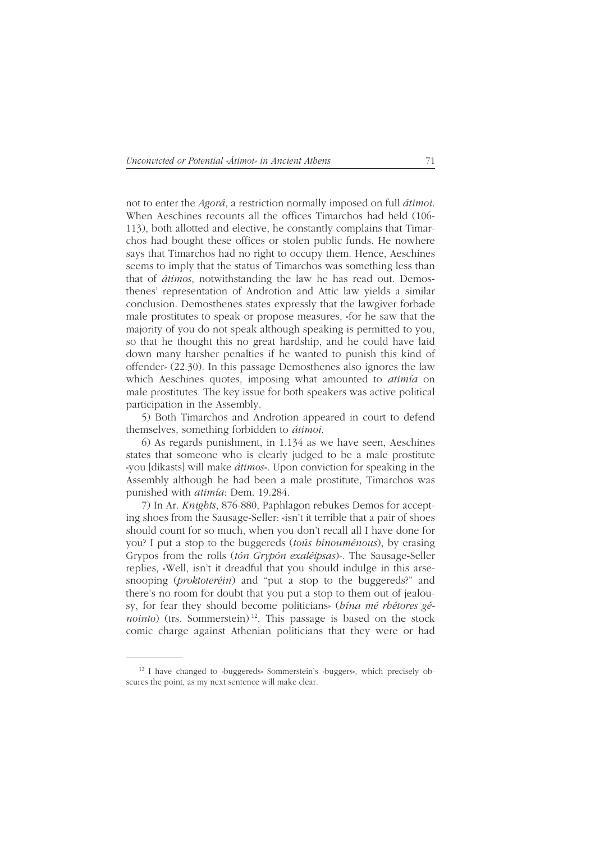not to enter the *Agorá*, a restriction normally imposed on full *átimoi*. When Aeschines recounts all the offices Timarchos had held (106- 113), both allotted and elective, he constantly complains that Timarchos had bought these offices or stolen public funds. He nowhere says that Timarchos had no right to occupy them. Hence, Aeschines seems to imply that the status of Timarchos was something less than that of *átimos*, notwithstanding the law he has read out. Demosthenes' representation of Androtion and Attic law yields a similar conclusion. Demosthenes states expressly that the lawgiver forbade male prostitutes to speak or propose measures, «for he saw that the majority of you do not speak although speaking is permitted to you, so that he thought this no great hardship, and he could have laid down many harsher penalties if he wanted to punish this kind of offender» (22.30). In this passage Demosthenes also ignores the law which Aeschines quotes, imposing what amounted to *atimía* on male prostitutes. The key issue for both speakers was active political participation in the Assembly.

5) Both Timarchos and Androtion appeared in court to defend themselves, something forbidden to *átimoi*.

6) As regards punishment, in 1.134 as we have seen, Aeschines states that someone who is clearly judged to be a male prostitute «you [dikasts] will make *átimos*». Upon conviction for speaking in the Assembly although he had been a male prostitute, Timarchos was punished with *atimía*: Dem. 19.284.

7) In Ar. *Knights*, 876-880, Paphlagon rebukes Demos for accepting shoes from the Sausage-Seller: «isn't it terrible that a pair of shoes should count for so much, when you don't recall all I have done for you? I put a stop to the buggereds (*toús binouménous*), by erasing Grypos from the rolls (*tón Grypón exaléipsas*)». The Sausage-Seller replies, «Well, isn't it dreadful that you should indulge in this arsesnooping (*proktoteréin*) and "put a stop to the buggereds?" and there's no room for doubt that you put a stop to them out of jealousy, for fear they should become politicians» (*hína mé rhétores génointo*) (trs. Sommerstein)<sup>12</sup>. This passage is based on the stock comic charge against Athenian politicians that they were or had

<sup>12</sup> I have changed to «buggereds» Sommerstein's «buggers», which precisely obscures the point, as my next sentence will make clear.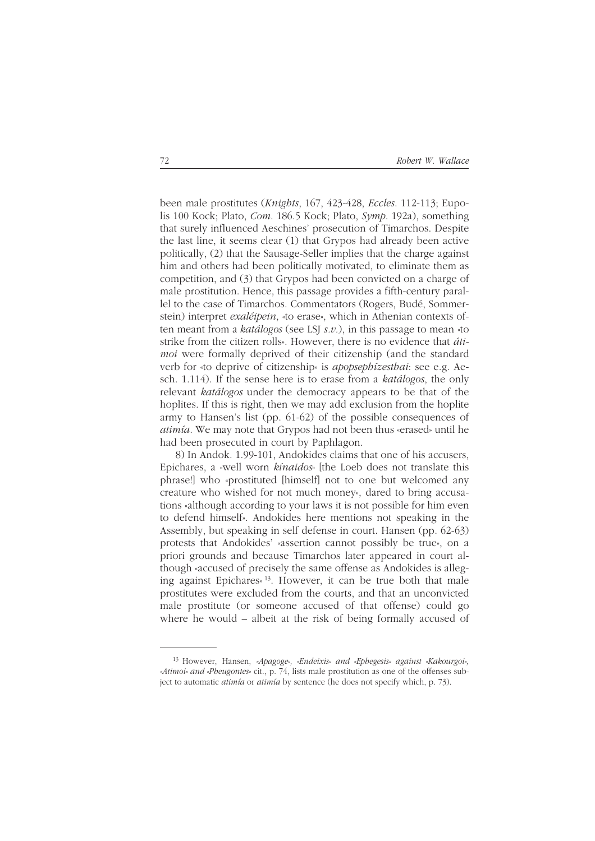been male prostitutes (*Knights*, 167, 423-428, *Eccles*. 112-113; Eupolis 100 Kock; Plato, *Com*. 186.5 Kock; Plato, *Symp*. 192a), something that surely influenced Aeschines' prosecution of Timarchos. Despite the last line, it seems clear (1) that Grypos had already been active politically, (2) that the Sausage-Seller implies that the charge against him and others had been politically motivated, to eliminate them as competition, and (3) that Grypos had been convicted on a charge of male prostitution. Hence, this passage provides a fifth-century parallel to the case of Timarchos. Commentators (Rogers, Budé, Sommerstein) interpret *exaléipein*, «to erase», which in Athenian contexts often meant from a *katálogos* (see LSJ *s.v.*), in this passage to mean «to strike from the citizen rolls». However, there is no evidence that *átimoi* were formally deprived of their citizenship (and the standard verb for «to deprive of citizenship» is *apopsephízesthai*: see e.g. Aesch. 1.114). If the sense here is to erase from a *katálogos*, the only relevant *katálogos* under the democracy appears to be that of the hoplites. If this is right, then we may add exclusion from the hoplite army to Hansen's list (pp. 61-62) of the possible consequences of *atimía*. We may note that Grypos had not been thus «erased» until he had been prosecuted in court by Paphlagon.

8) In Andok. 1.99-101, Andokides claims that one of his accusers, Epichares, a «well worn *kínaidos*» [the Loeb does not translate this phrase!] who «prostituted [himself] not to one but welcomed any creature who wished for not much money», dared to bring accusations «although according to your laws it is not possible for him even to defend himself». Andokides here mentions not speaking in the Assembly, but speaking in self defense in court. Hansen (pp. 62-63) protests that Andokides' «assertion cannot possibly be true», on a priori grounds and because Timarchos later appeared in court although «accused of precisely the same offense as Andokides is alleging against Epichares» 13. However, it can be true both that male prostitutes were excluded from the courts, and that an unconvicted male prostitute (or someone accused of that offense) could go where he would – albeit at the risk of being formally accused of

<sup>13</sup> However, Hansen, *«Apagoge», «Endeixis» and «Ephegesis» against «Kakourgoi», «Atimoi» and «Pheugontes»* cit., p. 74, lists male prostitution as one of the offenses subject to automatic *atimía* or *atimía* by sentence (he does not specify which, p. 73).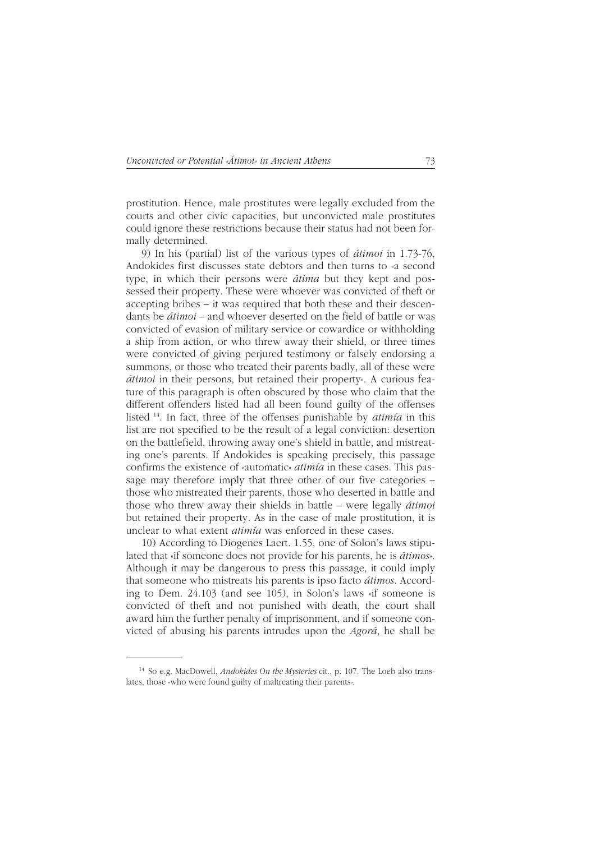prostitution. Hence, male prostitutes were legally excluded from the courts and other civic capacities, but unconvicted male prostitutes could ignore these restrictions because their status had not been formally determined.

9) In his (partial) list of the various types of *átimoi* in 1.73-76, Andokides first discusses state debtors and then turns to «a second type, in which their persons were *átima* but they kept and possessed their property. These were whoever was convicted of theft or accepting bribes – it was required that both these and their descendants be *átimoi* – and whoever deserted on the field of battle or was convicted of evasion of military service or cowardice or withholding a ship from action, or who threw away their shield, or three times were convicted of giving perjured testimony or falsely endorsing a summons, or those who treated their parents badly, all of these were *átimoi* in their persons, but retained their property». A curious feature of this paragraph is often obscured by those who claim that the different offenders listed had all been found guilty of the offenses listed 14. In fact, three of the offenses punishable by *atimía* in this list are not specified to be the result of a legal conviction: desertion on the battlefield, throwing away one's shield in battle, and mistreating one's parents. If Andokides is speaking precisely, this passage confirms the existence of «automatic» *atimía* in these cases. This passage may therefore imply that three other of our five categories – those who mistreated their parents, those who deserted in battle and those who threw away their shields in battle – were legally *átimoi* but retained their property. As in the case of male prostitution, it is unclear to what extent *atimía* was enforced in these cases.

10) According to Diogenes Laert. 1.55, one of Solon's laws stipulated that «if someone does not provide for his parents, he is *átimos*». Although it may be dangerous to press this passage, it could imply that someone who mistreats his parents is ipso facto *átimos*. According to Dem. 24.103 (and see 105), in Solon's laws «if someone is convicted of theft and not punished with death, the court shall award him the further penalty of imprisonment, and if someone convicted of abusing his parents intrudes upon the *Agorá*, he shall be

<sup>14</sup> So e.g. MacDowell, *Andokides On the Mysteries* cit., p. 107. The Loeb also translates, those «who were found guilty of maltreating their parents».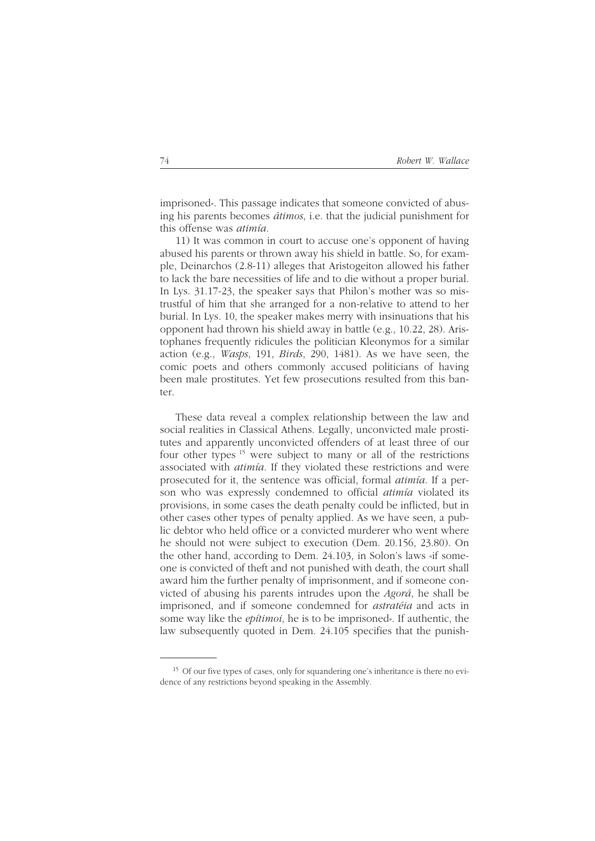imprisoned». This passage indicates that someone convicted of abusing his parents becomes *átimos*, i.e. that the judicial punishment for this offense was *atimía*.

11) It was common in court to accuse one's opponent of having abused his parents or thrown away his shield in battle. So, for example, Deinarchos (2.8-11) alleges that Aristogeiton allowed his father to lack the bare necessities of life and to die without a proper burial. In Lys. 31.17-23, the speaker says that Philon's mother was so mistrustful of him that she arranged for a non-relative to attend to her burial. In Lys. 10, the speaker makes merry with insinuations that his opponent had thrown his shield away in battle (e.g., 10.22, 28). Aristophanes frequently ridicules the politician Kleonymos for a similar action (e.g., *Wasps*, 191, *Birds*, 290, 1481). As we have seen, the comic poets and others commonly accused politicians of having been male prostitutes. Yet few prosecutions resulted from this banter.

These data reveal a complex relationship between the law and social realities in Classical Athens. Legally, unconvicted male prostitutes and apparently unconvicted offenders of at least three of our four other types 15 were subject to many or all of the restrictions associated with *atimía*. If they violated these restrictions and were prosecuted for it, the sentence was official, formal *atimía*. If a person who was expressly condemned to official *atimía* violated its provisions, in some cases the death penalty could be inflicted, but in other cases other types of penalty applied. As we have seen, a public debtor who held office or a convicted murderer who went where he should not were subject to execution (Dem. 20.156, 23.80). On the other hand, according to Dem. 24.103, in Solon's laws «if someone is convicted of theft and not punished with death, the court shall award him the further penalty of imprisonment, and if someone convicted of abusing his parents intrudes upon the *Agorá*, he shall be imprisoned, and if someone condemned for *astratéia* and acts in some way like the *epítimoi*, he is to be imprisoned». If authentic, the law subsequently quoted in Dem. 24.105 specifies that the punish-

<sup>&</sup>lt;sup>15</sup> Of our five types of cases, only for squandering one's inheritance is there no evidence of any restrictions beyond speaking in the Assembly.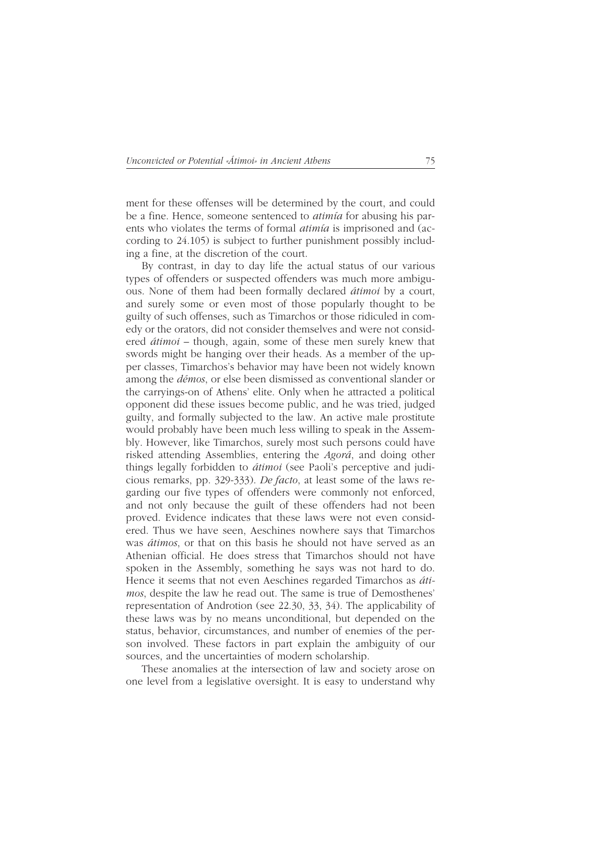ment for these offenses will be determined by the court, and could be a fine. Hence, someone sentenced to *atimía* for abusing his parents who violates the terms of formal *atimía* is imprisoned and (according to 24.105) is subject to further punishment possibly including a fine, at the discretion of the court.

By contrast, in day to day life the actual status of our various types of offenders or suspected offenders was much more ambiguous. None of them had been formally declared *átimoi* by a court, and surely some or even most of those popularly thought to be guilty of such offenses, such as Timarchos or those ridiculed in comedy or the orators, did not consider themselves and were not considered *átimoi* – though, again, some of these men surely knew that swords might be hanging over their heads. As a member of the upper classes, Timarchos's behavior may have been not widely known among the *démos*, or else been dismissed as conventional slander or the carryings-on of Athens' elite. Only when he attracted a political opponent did these issues become public, and he was tried, judged guilty, and formally subjected to the law. An active male prostitute would probably have been much less willing to speak in the Assembly. However, like Timarchos, surely most such persons could have risked attending Assemblies, entering the *Agorá*, and doing other things legally forbidden to *átimoi* (see Paoli's perceptive and judicious remarks, pp. 329-333). *De facto*, at least some of the laws regarding our five types of offenders were commonly not enforced, and not only because the guilt of these offenders had not been proved. Evidence indicates that these laws were not even considered. Thus we have seen, Aeschines nowhere says that Timarchos was *átimos*, or that on this basis he should not have served as an Athenian official. He does stress that Timarchos should not have spoken in the Assembly, something he says was not hard to do. Hence it seems that not even Aeschines regarded Timarchos as *átimos*, despite the law he read out. The same is true of Demosthenes' representation of Androtion (see 22.30, 33, 34). The applicability of these laws was by no means unconditional, but depended on the status, behavior, circumstances, and number of enemies of the person involved. These factors in part explain the ambiguity of our sources, and the uncertainties of modern scholarship.

These anomalies at the intersection of law and society arose on one level from a legislative oversight. It is easy to understand why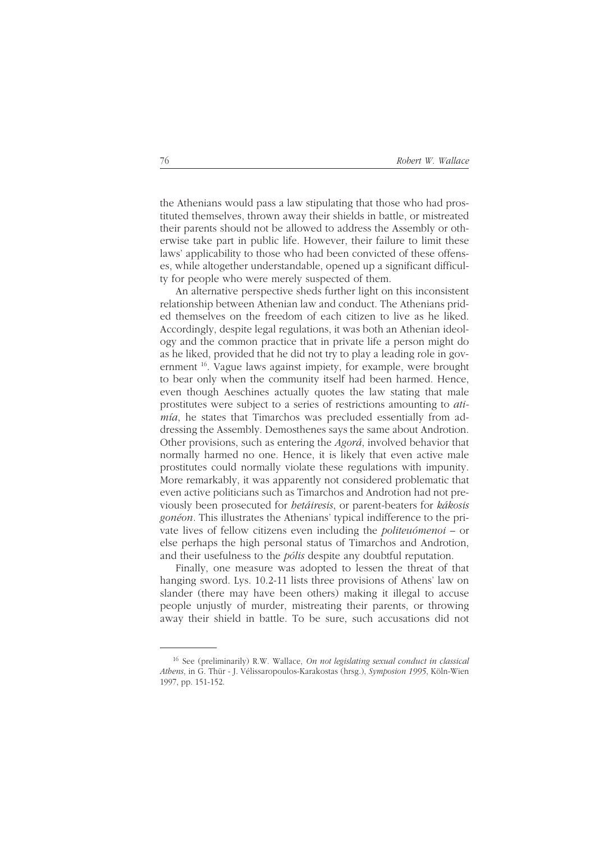the Athenians would pass a law stipulating that those who had prostituted themselves, thrown away their shields in battle, or mistreated their parents should not be allowed to address the Assembly or otherwise take part in public life. However, their failure to limit these laws' applicability to those who had been convicted of these offenses, while altogether understandable, opened up a significant difficulty for people who were merely suspected of them.

An alternative perspective sheds further light on this inconsistent relationship between Athenian law and conduct. The Athenians prided themselves on the freedom of each citizen to live as he liked. Accordingly, despite legal regulations, it was both an Athenian ideology and the common practice that in private life a person might do as he liked, provided that he did not try to play a leading role in government 16. Vague laws against impiety, for example, were brought to bear only when the community itself had been harmed. Hence, even though Aeschines actually quotes the law stating that male prostitutes were subject to a series of restrictions amounting to *atimía*, he states that Timarchos was precluded essentially from addressing the Assembly. Demosthenes says the same about Androtion. Other provisions, such as entering the *Agorá*, involved behavior that normally harmed no one. Hence, it is likely that even active male prostitutes could normally violate these regulations with impunity. More remarkably, it was apparently not considered problematic that even active politicians such as Timarchos and Androtion had not previously been prosecuted for *hetáiresis*, or parent-beaters for *kákosis gonéon*. This illustrates the Athenians' typical indifference to the private lives of fellow citizens even including the *politeuómenoi* – or else perhaps the high personal status of Timarchos and Androtion, and their usefulness to the *pólis* despite any doubtful reputation.

Finally, one measure was adopted to lessen the threat of that hanging sword. Lys. 10.2-11 lists three provisions of Athens' law on slander (there may have been others) making it illegal to accuse people unjustly of murder, mistreating their parents, or throwing away their shield in battle. To be sure, such accusations did not

<sup>16</sup> See (preliminarily) R.W. Wallace, *On not legislating sexual conduct in classical Athens*, in G. Thür - J. Vélissaropoulos-Karakostas (hrsg.), *Symposion 1995*, Köln-Wien 1997, pp. 151-152.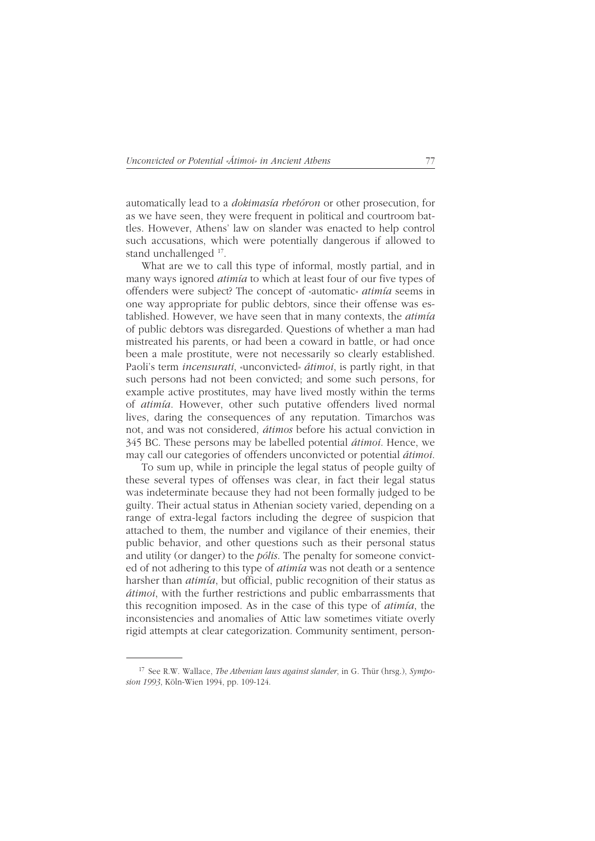automatically lead to a *dokimasía rhetóron* or other prosecution, for as we have seen, they were frequent in political and courtroom battles. However, Athens' law on slander was enacted to help control such accusations, which were potentially dangerous if allowed to stand unchallenged 17.

What are we to call this type of informal, mostly partial, and in many ways ignored *atimía* to which at least four of our five types of offenders were subject? The concept of «automatic» *atimía* seems in one way appropriate for public debtors, since their offense was established. However, we have seen that in many contexts, the *atimía* of public debtors was disregarded. Questions of whether a man had mistreated his parents, or had been a coward in battle, or had once been a male prostitute, were not necessarily so clearly established. Paoli's term *incensurati*, «unconvicted» *átimoi*, is partly right, in that such persons had not been convicted; and some such persons, for example active prostitutes, may have lived mostly within the terms of *atimía*. However, other such putative offenders lived normal lives, daring the consequences of any reputation. Timarchos was not, and was not considered, *átimos* before his actual conviction in 345 BC. These persons may be labelled potential *átimoi*. Hence, we may call our categories of offenders unconvicted or potential *átimoi*.

To sum up, while in principle the legal status of people guilty of these several types of offenses was clear, in fact their legal status was indeterminate because they had not been formally judged to be guilty. Their actual status in Athenian society varied, depending on a range of extra-legal factors including the degree of suspicion that attached to them, the number and vigilance of their enemies, their public behavior, and other questions such as their personal status and utility (or danger) to the *pólis*. The penalty for someone convicted of not adhering to this type of *atimía* was not death or a sentence harsher than *atimía*, but official, public recognition of their status as *átimoi*, with the further restrictions and public embarrassments that this recognition imposed. As in the case of this type of *atimía*, the inconsistencies and anomalies of Attic law sometimes vitiate overly rigid attempts at clear categorization. Community sentiment, person-

<sup>17</sup> See R.W. Wallace, *The Athenian laws against slander*, in G. Thür (hrsg.), *Symposion 1993*, Köln-Wien 1994, pp. 109-124.